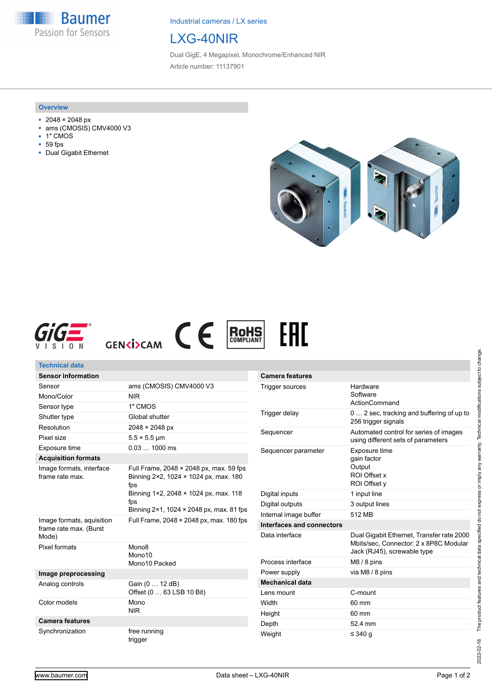**Baumer** Passion for Sensors

Industrial cameras / LX series

# LXG-40NIR

Dual GigE, 4 Megapixel, Monochrome/Enhanced NIR Article number: 11137901

#### **Overview**

- 2048 × 2048 px
- ams (CMOSIS) CMV4000 V3
- 1″ CMOS
- 59 fps
- Dual Gigabit Ethernet











Synchronization free running

trigger

Weight  $\leq 340 g$